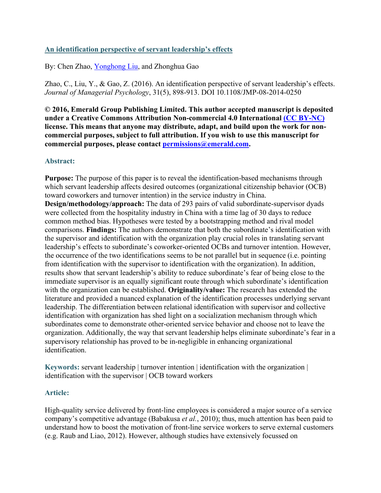# **An identification perspective of servant leadership's effects**

By: Chen Zhao, [Yonghong Liu,](https://libres.uncg.edu/ir/uncg/clist.aspx?id=25896) and Zhonghua Gao

Zhao, C., Liu, Y., & Gao, Z. (2016). An identification perspective of servant leadership's effects. *Journal of Managerial Psychology*, 31(5), 898-913. DOI 10.1108/JMP-08-2014-0250

**© 2016, Emerald Group Publishing Limited. This author accepted manuscript is deposited under a Creative Commons Attribution Non-commercial 4.0 International [\(CC BY-NC\)](https://creativecommons.org/licenses/by-nc/4.0/) license. This means that anyone may distribute, adapt, and build upon the work for noncommercial purposes, subject to full attribution. If you wish to use this manuscript for commercial purposes, please contact [permissions@emerald.com.](mailto:permissions@emerald.com)**

## **Abstract:**

**Purpose:** The purpose of this paper is to reveal the identification-based mechanisms through which servant leadership affects desired outcomes (organizational citizenship behavior (OCB) toward coworkers and turnover intention) in the service industry in China. **Design/methodology/approach:** The data of 293 pairs of valid subordinate-supervisor dyads were collected from the hospitality industry in China with a time lag of 30 days to reduce common method bias. Hypotheses were tested by a bootstrapping method and rival model comparisons. **Findings:** The authors demonstrate that both the subordinate's identification with the supervisor and identification with the organization play crucial roles in translating servant leadership's effects to subordinate's coworker-oriented OCBs and turnover intention. However, the occurrence of the two identifications seems to be not parallel but in sequence (i.e. pointing from identification with the supervisor to identification with the organization). In addition, results show that servant leadership's ability to reduce subordinate's fear of being close to the immediate supervisor is an equally significant route through which subordinate's identification with the organization can be established. **Originality/value:** The research has extended the literature and provided a nuanced explanation of the identification processes underlying servant leadership. The differentiation between relational identification with supervisor and collective identification with organization has shed light on a socialization mechanism through which subordinates come to demonstrate other-oriented service behavior and choose not to leave the organization. Additionally, the way that servant leadership helps eliminate subordinate's fear in a supervisory relationship has proved to be in-negligible in enhancing organizational identification.

**Keywords:** servant leadership | turnover intention | identification with the organization | identification with the supervisor | OCB toward workers

## **Article:**

High-quality service delivered by front-line employees is considered a major source of a service company's competitive advantage (Babakusa *et al.*, 2010); thus, much attention has been paid to understand how to boost the motivation of front-line service workers to serve external customers (e.g. Raub and Liao, 2012). However, although studies have extensively focussed on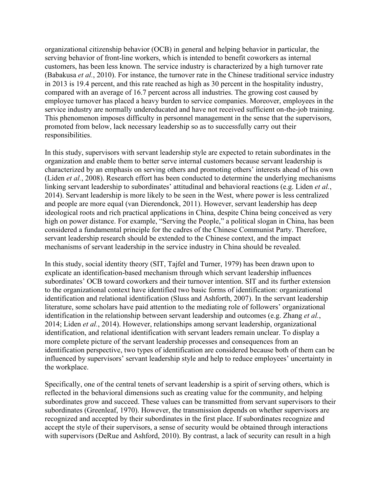organizational citizenship behavior (OCB) in general and helping behavior in particular, the serving behavior of front-line workers, which is intended to benefit coworkers as internal customers, has been less known. The service industry is characterized by a high turnover rate (Babakusa *et al.*, 2010). For instance, the turnover rate in the Chinese traditional service industry in 2013 is 19.4 percent, and this rate reached as high as 30 percent in the hospitality industry, compared with an average of 16.7 percent across all industries. The growing cost caused by employee turnover has placed a heavy burden to service companies. Moreover, employees in the service industry are normally undereducated and have not received sufficient on-the-job training. This phenomenon imposes difficulty in personnel management in the sense that the supervisors, promoted from below, lack necessary leadership so as to successfully carry out their responsibilities.

In this study, supervisors with servant leadership style are expected to retain subordinates in the organization and enable them to better serve internal customers because servant leadership is characterized by an emphasis on serving others and promoting others' interests ahead of his own (Liden *et al.*, 2008). Research effort has been conducted to determine the underlying mechanisms linking servant leadership to subordinates' attitudinal and behavioral reactions (e.g. Liden *et al.*, 2014). Servant leadership is more likely to be seen in the West, where power is less centralized and people are more equal (van Dierendonck, 2011). However, servant leadership has deep ideological roots and rich practical applications in China, despite China being conceived as very high on power distance. For example, "Serving the People," a political slogan in China, has been considered a fundamental principle for the cadres of the Chinese Communist Party. Therefore, servant leadership research should be extended to the Chinese context, and the impact mechanisms of servant leadership in the service industry in China should be revealed.

In this study, social identity theory (SIT, Tajfel and Turner, 1979) has been drawn upon to explicate an identification-based mechanism through which servant leadership influences subordinates' OCB toward coworkers and their turnover intention. SIT and its further extension to the organizational context have identified two basic forms of identification: organizational identification and relational identification (Sluss and Ashforth, 2007). In the servant leadership literature, some scholars have paid attention to the mediating role of followers' organizational identification in the relationship between servant leadership and outcomes (e.g. Zhang *et al.*, 2014; Liden *et al.*, 2014). However, relationships among servant leadership, organizational identification, and relational identification with servant leaders remain unclear. To display a more complete picture of the servant leadership processes and consequences from an identification perspective, two types of identification are considered because both of them can be influenced by supervisors' servant leadership style and help to reduce employees' uncertainty in the workplace.

Specifically, one of the central tenets of servant leadership is a spirit of serving others, which is reflected in the behavioral dimensions such as creating value for the community, and helping subordinates grow and succeed. These values can be transmitted from servant supervisors to their subordinates (Greenleaf, 1970). However, the transmission depends on whether supervisors are recognized and accepted by their subordinates in the first place. If subordinates recognize and accept the style of their supervisors, a sense of security would be obtained through interactions with supervisors (DeRue and Ashford, 2010). By contrast, a lack of security can result in a high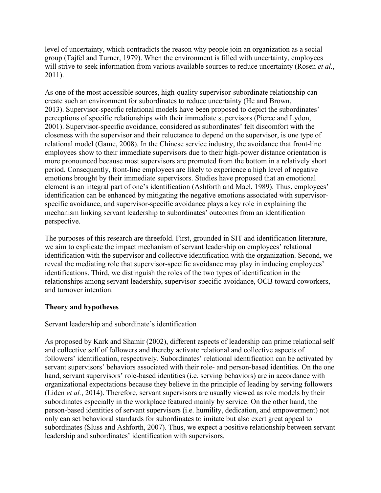level of uncertainty, which contradicts the reason why people join an organization as a social group (Tajfel and Turner, 1979). When the environment is filled with uncertainty, employees will strive to seek information from various available sources to reduce uncertainty (Rosen *et al.*, 2011).

As one of the most accessible sources, high-quality supervisor-subordinate relationship can create such an environment for subordinates to reduce uncertainty (He and Brown, 2013). Supervisor-specific relational models have been proposed to depict the subordinates' perceptions of specific relationships with their immediate supervisors (Pierce and Lydon, 2001). Supervisor-specific avoidance, considered as subordinates' felt discomfort with the closeness with the supervisor and their reluctance to depend on the supervisor, is one type of relational model (Game, 2008). In the Chinese service industry, the avoidance that front-line employees show to their immediate supervisors due to their high-power distance orientation is more pronounced because most supervisors are promoted from the bottom in a relatively short period. Consequently, front-line employees are likely to experience a high level of negative emotions brought by their immediate supervisors. Studies have proposed that an emotional element is an integral part of one's identification (Ashforth and Mael, 1989). Thus, employees' identification can be enhanced by mitigating the negative emotions associated with supervisorspecific avoidance, and supervisor-specific avoidance plays a key role in explaining the mechanism linking servant leadership to subordinates' outcomes from an identification perspective.

The purposes of this research are threefold. First, grounded in SIT and identification literature, we aim to explicate the impact mechanism of servant leadership on employees' relational identification with the supervisor and collective identification with the organization. Second, we reveal the mediating role that supervisor-specific avoidance may play in inducing employees' identifications. Third, we distinguish the roles of the two types of identification in the relationships among servant leadership, supervisor-specific avoidance, OCB toward coworkers, and turnover intention.

# **Theory and hypotheses**

Servant leadership and subordinate's identification

As proposed by Kark and Shamir (2002), different aspects of leadership can prime relational self and collective self of followers and thereby activate relational and collective aspects of followers' identification, respectively. Subordinates' relational identification can be activated by servant supervisors' behaviors associated with their role- and person-based identities. On the one hand, servant supervisors' role-based identities (i.e. serving behaviors) are in accordance with organizational expectations because they believe in the principle of leading by serving followers (Liden *et al.*, 2014). Therefore, servant supervisors are usually viewed as role models by their subordinates especially in the workplace featured mainly by service. On the other hand, the person-based identities of servant supervisors (i.e. humility, dedication, and empowerment) not only can set behavioral standards for subordinates to imitate but also exert great appeal to subordinates (Sluss and Ashforth, 2007). Thus, we expect a positive relationship between servant leadership and subordinates' identification with supervisors.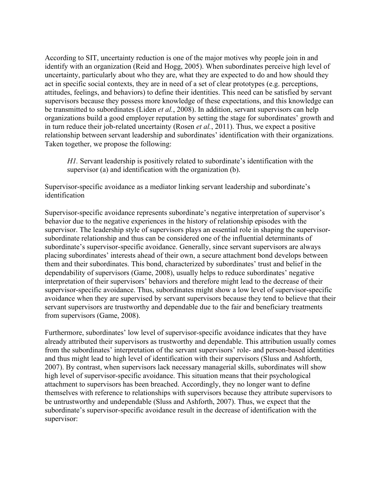According to SIT, uncertainty reduction is one of the major motives why people join in and identify with an organization (Reid and Hogg, 2005). When subordinates perceive high level of uncertainty, particularly about who they are, what they are expected to do and how should they act in specific social contexts, they are in need of a set of clear prototypes (e.g. perceptions, attitudes, feelings, and behaviors) to define their identities. This need can be satisfied by servant supervisors because they possess more knowledge of these expectations, and this knowledge can be transmitted to subordinates (Liden *et al.*, 2008). In addition, servant supervisors can help organizations build a good employer reputation by setting the stage for subordinates' growth and in turn reduce their job-related uncertainty (Rosen *et al.*, 2011). Thus, we expect a positive relationship between servant leadership and subordinates' identification with their organizations. Taken together, we propose the following:

*H1*. Servant leadership is positively related to subordinate's identification with the supervisor (a) and identification with the organization (b).

Supervisor-specific avoidance as a mediator linking servant leadership and subordinate's identification

Supervisor-specific avoidance represents subordinate's negative interpretation of supervisor's behavior due to the negative experiences in the history of relationship episodes with the supervisor. The leadership style of supervisors plays an essential role in shaping the supervisorsubordinate relationship and thus can be considered one of the influential determinants of subordinate's supervisor-specific avoidance. Generally, since servant supervisors are always placing subordinates' interests ahead of their own, a secure attachment bond develops between them and their subordinates. This bond, characterized by subordinates' trust and belief in the dependability of supervisors (Game, 2008), usually helps to reduce subordinates' negative interpretation of their supervisors' behaviors and therefore might lead to the decrease of their supervisor-specific avoidance. Thus, subordinates might show a low level of supervisor-specific avoidance when they are supervised by servant supervisors because they tend to believe that their servant supervisors are trustworthy and dependable due to the fair and beneficiary treatments from supervisors (Game, 2008).

Furthermore, subordinates' low level of supervisor-specific avoidance indicates that they have already attributed their supervisors as trustworthy and dependable. This attribution usually comes from the subordinates' interpretation of the servant supervisors' role- and person-based identities and thus might lead to high level of identification with their supervisors (Sluss and Ashforth, 2007). By contrast, when supervisors lack necessary managerial skills, subordinates will show high level of supervisor-specific avoidance. This situation means that their psychological attachment to supervisors has been breached. Accordingly, they no longer want to define themselves with reference to relationships with supervisors because they attribute supervisors to be untrustworthy and undependable (Sluss and Ashforth, 2007). Thus, we expect that the subordinate's supervisor-specific avoidance result in the decrease of identification with the supervisor: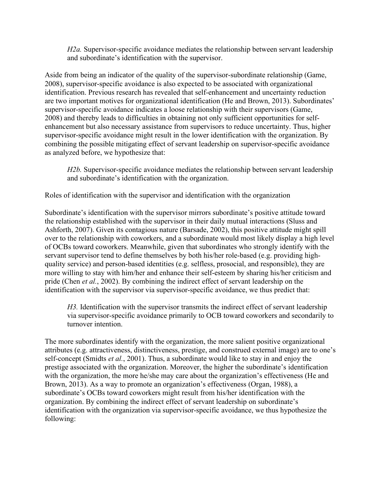*H2a.* Supervisor-specific avoidance mediates the relationship between servant leadership and subordinate's identification with the supervisor.

Aside from being an indicator of the quality of the supervisor-subordinate relationship (Game, 2008), supervisor-specific avoidance is also expected to be associated with organizational identification. Previous research has revealed that self-enhancement and uncertainty reduction are two important motives for organizational identification (He and Brown, 2013). Subordinates' supervisor-specific avoidance indicates a loose relationship with their supervisors (Game, 2008) and thereby leads to difficulties in obtaining not only sufficient opportunities for selfenhancement but also necessary assistance from supervisors to reduce uncertainty. Thus, higher supervisor-specific avoidance might result in the lower identification with the organization. By combining the possible mitigating effect of servant leadership on supervisor-specific avoidance as analyzed before, we hypothesize that:

*H2b.* Supervisor-specific avoidance mediates the relationship between servant leadership and subordinate's identification with the organization.

Roles of identification with the supervisor and identification with the organization

Subordinate's identification with the supervisor mirrors subordinate's positive attitude toward the relationship established with the supervisor in their daily mutual interactions (Sluss and Ashforth, 2007). Given its contagious nature (Barsade, 2002), this positive attitude might spill over to the relationship with coworkers, and a subordinate would most likely display a high level of OCBs toward coworkers. Meanwhile, given that subordinates who strongly identify with the servant supervisor tend to define themselves by both his/her role-based (e.g. providing highquality service) and person-based identities (e.g. selfless, prosocial, and responsible), they are more willing to stay with him/her and enhance their self-esteem by sharing his/her criticism and pride (Chen *et al.*, 2002). By combining the indirect effect of servant leadership on the identification with the supervisor via supervisor-specific avoidance, we thus predict that:

*H3.* Identification with the supervisor transmits the indirect effect of servant leadership via supervisor-specific avoidance primarily to OCB toward coworkers and secondarily to turnover intention.

The more subordinates identify with the organization, the more salient positive organizational attributes (e.g. attractiveness, distinctiveness, prestige, and construed external image) are to one's self-concept (Smidts *et al.*, 2001). Thus, a subordinate would like to stay in and enjoy the prestige associated with the organization. Moreover, the higher the subordinate's identification with the organization, the more he/she may care about the organization's effectiveness (He and Brown, 2013). As a way to promote an organization's effectiveness (Organ, 1988), a subordinate's OCBs toward coworkers might result from his/her identification with the organization. By combining the indirect effect of servant leadership on subordinate's identification with the organization via supervisor-specific avoidance, we thus hypothesize the following: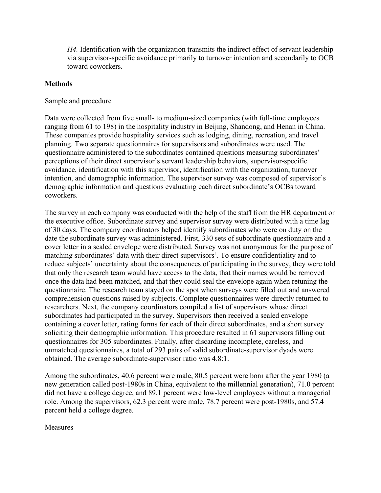*H4.* Identification with the organization transmits the indirect effect of servant leadership via supervisor-specific avoidance primarily to turnover intention and secondarily to OCB toward coworkers.

## **Methods**

## Sample and procedure

Data were collected from five small- to medium-sized companies (with full-time employees ranging from 61 to 198) in the hospitality industry in Beijing, Shandong, and Henan in China. These companies provide hospitality services such as lodging, dining, recreation, and travel planning. Two separate questionnaires for supervisors and subordinates were used. The questionnaire administered to the subordinates contained questions measuring subordinates' perceptions of their direct supervisor's servant leadership behaviors, supervisor-specific avoidance, identification with this supervisor, identification with the organization, turnover intention, and demographic information. The supervisor survey was composed of supervisor's demographic information and questions evaluating each direct subordinate's OCBs toward coworkers.

The survey in each company was conducted with the help of the staff from the HR department or the executive office. Subordinate survey and supervisor survey were distributed with a time lag of 30 days. The company coordinators helped identify subordinates who were on duty on the date the subordinate survey was administered. First, 330 sets of subordinate questionnaire and a cover letter in a sealed envelope were distributed. Survey was not anonymous for the purpose of matching subordinates' data with their direct supervisors'. To ensure confidentiality and to reduce subjects' uncertainty about the consequences of participating in the survey, they were told that only the research team would have access to the data, that their names would be removed once the data had been matched, and that they could seal the envelope again when retuning the questionnaire. The research team stayed on the spot when surveys were filled out and answered comprehension questions raised by subjects. Complete questionnaires were directly returned to researchers. Next, the company coordinators compiled a list of supervisors whose direct subordinates had participated in the survey. Supervisors then received a sealed envelope containing a cover letter, rating forms for each of their direct subordinates, and a short survey soliciting their demographic information. This procedure resulted in 61 supervisors filling out questionnaires for 305 subordinates. Finally, after discarding incomplete, careless, and unmatched questionnaires, a total of 293 pairs of valid subordinate-supervisor dyads were obtained. The average subordinate-supervisor ratio was 4.8:1.

Among the subordinates, 40.6 percent were male, 80.5 percent were born after the year 1980 (a new generation called post-1980s in China, equivalent to the millennial generation), 71.0 percent did not have a college degree, and 89.1 percent were low-level employees without a managerial role. Among the supervisors, 62.3 percent were male, 78.7 percent were post-1980s, and 57.4 percent held a college degree.

**Measures**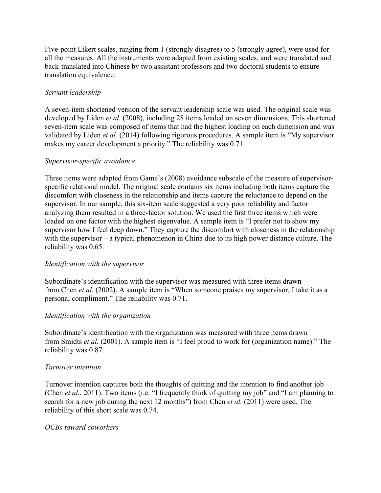Five-point Likert scales, ranging from 1 (strongly disagree) to 5 (strongly agree), were used for all the measures. All the instruments were adapted from existing scales, and were translated and back-translated into Chinese by two assistant professors and two doctoral students to ensure translation equivalence.

# *Servant leadership*

A seven-item shortened version of the servant leadership scale was used. The original scale was developed by Liden *et al.* (2008), including 28 items loaded on seven dimensions. This shortened seven-item scale was composed of items that had the highest loading on each dimension and was validated by Liden *et al.* (2014) following rigorous procedures. A sample item is "My supervisor makes my career development a priority." The reliability was 0.71.

## *Supervisor-specific avoidance*

Three items were adapted from Game's (2008) avoidance subscale of the measure of supervisorspecific relational model. The original scale contains six items including both items capture the discomfort with closeness in the relationship and items capture the reluctance to depend on the supervisor. In our sample, this six-item scale suggested a very poor reliability and factor analyzing them resulted in a three-factor solution. We used the first three items which were loaded on one factor with the highest eigenvalue. A sample item is "I prefer not to show my supervisor how I feel deep down." They capture the discomfort with closeness in the relationship with the supervisor – a typical phenomenon in China due to its high power distance culture. The reliability was 0.65.

## *Identification with the supervisor*

Subordinate's identification with the supervisor was measured with three items drawn from Chen *et al.* (2002). A sample item is "When someone praises my supervisor, I take it as a personal compliment." The reliability was 0.71.

## *Identification with the organization*

Subordinate's identification with the organization was measured with three items drawn from Smidts *et al.* (2001). A sample item is "I feel proud to work for (organization name)." The reliability was 0.87.

## *Turnover intention*

Turnover intention captures both the thoughts of quitting and the intention to find another job (Chen *et al.*, 2011). Two items (i.e. "I frequently think of quitting my job" and "I am planning to search for a new job during the next 12 months") from Chen *et al.* (2011) were used. The reliability of this short scale was 0.74.

## *OCBs toward coworkers*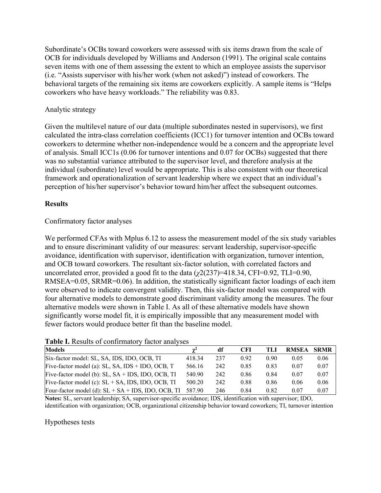Subordinate's OCBs toward coworkers were assessed with six items drawn from the scale of OCB for individuals developed by Williams and Anderson (1991). The original scale contains seven items with one of them assessing the extent to which an employee assists the supervisor (i.e. "Assists supervisor with his/her work (when not asked)") instead of coworkers. The behavioral targets of the remaining six items are coworkers explicitly. A sample items is "Helps coworkers who have heavy workloads." The reliability was 0.83.

### Analytic strategy

Given the multilevel nature of our data (multiple subordinates nested in supervisors), we first calculated the intra-class correlation coefficients (ICC1) for turnover intention and OCBs toward coworkers to determine whether non-independence would be a concern and the appropriate level of analysis. Small ICC1s (0.06 for turnover intentions and 0.07 for OCBs) suggested that there was no substantial variance attributed to the supervisor level, and therefore analysis at the individual (subordinate) level would be appropriate. This is also consistent with our theoretical framework and operationalization of servant leadership where we expect that an individual's perception of his/her supervisor's behavior toward him/her affect the subsequent outcomes.

### **Results**

### Confirmatory factor analyses

We performed CFAs with Mplus 6.12 to assess the measurement model of the six study variables and to ensure discriminant validity of our measures: servant leadership, supervisor-specific avoidance, identification with supervisor, identification with organization, turnover intention, and OCB toward coworkers. The resultant six-factor solution, with correlated factors and uncorrelated error, provided a good fit to the data (*χ*2(237)=418.34, CFI=0.92, TLI=0.90, RMSEA=0.05, SRMR=0.06). In addition, the statistically significant factor loadings of each item were observed to indicate convergent validity. Then, this six-factor model was compared with four alternative models to demonstrate good discriminant validity among the measures. The four alternative models were shown in Table I. As all of these alternative models have shown significantly worse model fit, it is empirically impossible that any measurement model with fewer factors would produce better fit than the baseline model.

| <b>Models</b>                                                   | $\gamma^2$ | df  | <b>CFI</b> | TLI  | <b>RMSEA</b> | <b>SRMR</b> |
|-----------------------------------------------------------------|------------|-----|------------|------|--------------|-------------|
| Six-factor model: SL, SA, IDS, IDO, OCB, TI                     | 418.34     | 237 | 0.92       | 0.90 | 0.05         | 0.06        |
| Five-factor model (a): SL, SA, IDS + IDO, OCB, $T$              | 566.16     | 242 | 0.85       | 0.83 | 0.07         | 0.07        |
| Five-factor model (b): $SL$ , $SA + IDs$ , $IDO$ , $OCB$ , $TI$ | 540.90     | 242 | 0.86       | 0.84 | 0.07         | 0.07        |
| Five-factor model (c): $SL + SA$ , IDS, IDO, OCB, TI            | 500.20     | 242 | 0.88       | 0.86 | 0.06         | 0.06        |
| Four-factor model (d): $SL + SA + IDs$ , IDO, OCB, TI           | 587.90     | 246 | 0.84       | 0.82 | 0.07         | 0.07        |

#### **Table I.** Results of confirmatory factor analyses

**Notes:** SL, servant leadership; SA, supervisor-specific avoidance; IDS, identification with supervisor; IDO, identification with organization; OCB, organizational citizenship behavior toward coworkers; TI, turnover intention

#### Hypotheses tests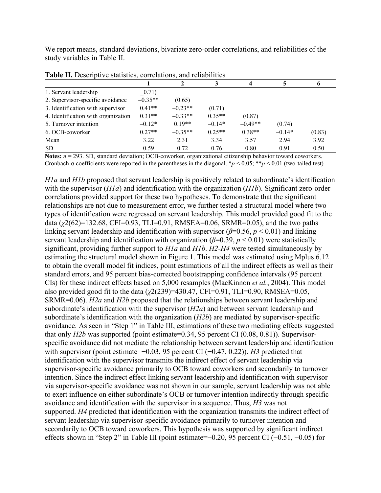We report means, standard deviations, bivariate zero-order correlations, and reliabilities of the study variables in Table II.

| 1. Servant leadership               | 0.71)     |           |          |           |          |        |
|-------------------------------------|-----------|-----------|----------|-----------|----------|--------|
| 2. Supervisor-specific avoidance    | $-0.35**$ | (0.65)    |          |           |          |        |
| 3. Identification with supervisor   | $0.41**$  | $-0.23**$ | (0.71)   |           |          |        |
| 4. Identification with organization | $0.31**$  | $-0.33**$ | $0.35**$ | (0.87)    |          |        |
| 5. Turnover intention               | $-0.12*$  | $0.19**$  | $-0.14*$ | $-0.49**$ | (0.74)   |        |
| 6. OCB-coworker                     | $0.27**$  | $-0.35**$ | $0.25**$ | $0.38**$  | $-0.14*$ | (0.83) |
| Mean                                | 3.22      | 2.31      | 3.34     | 3.57      | 2.94     | 3.92   |
| <b>SD</b>                           | 0.59      | 0.72      | 0.76     | 0.80      | 0.91     | 0.50   |

**Table II.** Descriptive statistics, correlations, and reliabilities

**Notes:** *n* = 293. SD, standard deviation; OCB-coworker, organizational citizenship behavior toward coworkers. Cronbach-α coefficients were reported in the parentheses in the diagonal. \**p* < 0.05; \*\**p* < 0.01 (two-tailed test)

*H1a* and *H1b* proposed that servant leadership is positively related to subordinate's identification with the supervisor (*H1a*) and identification with the organization (*H1b*). Significant zero-order correlations provided support for these two hypotheses. To demonstrate that the significant relationships are not due to measurement error, we further tested a structural model where two types of identification were regressed on servant leadership. This model provided good fit to the data (*χ*2(62)=132.68, CFI=0.93, TLI=0.91, RMSEA=0.06, SRMR=0.05), and the two paths linking servant leadership and identification with supervisor (*β*=0.56, *p* < 0.01) and linking servant leadership and identification with organization ( $\beta$ =0.39,  $p$  < 0.01) were statistically significant, providing further support to *H1a* and *H1b*. *H2*-*H4* were tested simultaneously by estimating the structural model shown in Figure 1. This model was estimated using Mplus 6.12 to obtain the overall model fit indices, point estimations of all the indirect effects as well as their standard errors, and 95 percent bias-corrected bootstrapping confidence intervals (95 percent CIs) for these indirect effects based on 5,000 resamples (MacKinnon *et al.*, 2004). This model also provided good fit to the data (*χ*2(239)=430.47, CFI=0.91, TLI=0.90, RMSEA=0.05, SRMR=0.06). *H2a* and *H2b* proposed that the relationships between servant leadership and subordinate's identification with the supervisor (*H2a*) and between servant leadership and subordinate's identification with the organization (*H2b*) are mediated by supervisor-specific avoidance. As seen in "Step 1" in Table III, estimations of these two mediating effects suggested that only *H2b* was supported (point estimate=0.34, 95 percent CI (0.08, 0.81)). Supervisorspecific avoidance did not mediate the relationship between servant leadership and identification with supervisor (point estimate=−0.03, 95 percent CI (−0.47, 0.22)). *H3* predicted that identification with the supervisor transmits the indirect effect of servant leadership via supervisor-specific avoidance primarily to OCB toward coworkers and secondarily to turnover intention. Since the indirect effect linking servant leadership and identification with supervisor via supervisor-specific avoidance was not shown in our sample, servant leadership was not able to exert influence on either subordinate's OCB or turnover intention indirectly through specific avoidance and identification with the supervisor in a sequence. Thus, *H3* was not supported. *H4* predicted that identification with the organization transmits the indirect effect of servant leadership via supervisor-specific avoidance primarily to turnover intention and secondarily to OCB toward coworkers. This hypothesis was supported by significant indirect effects shown in "Step 2" in Table III (point estimate=−0.20, 95 percent CI (−0.51, −0.05) for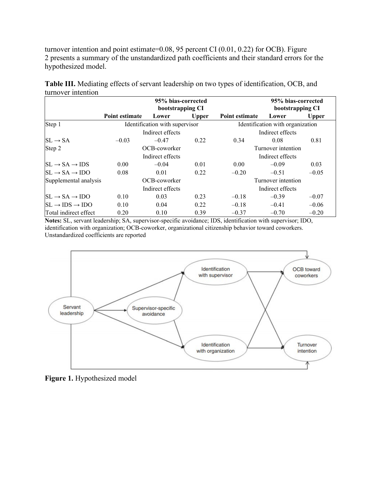turnover intention and point estimate=0.08, 95 percent CI (0.01, 0.22) for OCB). Figure 2 presents a summary of the unstandardized path coefficients and their standard errors for the hypothesized model.

|                                      | 95% bias-corrected<br>bootstrapping CI |                  |              |                                  | 95% bias-corrected<br>bootstrapping CI |              |  |
|--------------------------------------|----------------------------------------|------------------|--------------|----------------------------------|----------------------------------------|--------------|--|
|                                      | Point estimate                         | Lower            | <b>Upper</b> | Point estimate                   | Lower                                  | <b>Upper</b> |  |
| Step 1                               | Identification with supervisor         |                  |              | Identification with organization |                                        |              |  |
|                                      |                                        | Indirect effects |              | Indirect effects                 |                                        |              |  |
| $SL \rightarrow SA$                  | $-0.03$                                | $-0.47$          | 0.22         | 0.34                             | 0.08                                   | 0.81         |  |
| Step 2                               | OCB-coworker                           |                  |              | Turnover intention               |                                        |              |  |
|                                      |                                        | Indirect effects |              |                                  | Indirect effects                       |              |  |
| $SL \rightarrow SA \rightarrow IDs$  | 0.00                                   | $-0.04$          | 0.01         | 0.00                             | $-0.09$                                | 0.03         |  |
| $SL \rightarrow SA \rightarrow IDO$  | 0.08                                   | 0.01             | 0.22         | $-0.20$                          | $-0.51$                                | $-0.05$      |  |
| Supplemental analysis                |                                        | OCB-coworker     |              |                                  | Turnover intention                     |              |  |
|                                      |                                        | Indirect effects |              |                                  | Indirect effects                       |              |  |
| $SL \rightarrow SA \rightarrow IDO$  | 0.10                                   | 0.03             | 0.23         | $-0.18$                          | $-0.39$                                | $-0.07$      |  |
| $SL \rightarrow IDs \rightarrow IDO$ | 0.10                                   | 0.04             | 0.22         | $-0.18$                          | $-0.41$                                | $-0.06$      |  |
| Total indirect effect                | 0.20                                   | 0.10             | 0.39         | $-0.37$                          | $-0.70$                                | $-0.20$      |  |

**Table III.** Mediating effects of servant leadership on two types of identification, OCB, and turnover intention

**Notes:** SL, servant leadership; SA, supervisor-specific avoidance; IDS, identification with supervisor; IDO, identification with organization; OCB-coworker, organizational citizenship behavior toward coworkers. Unstandardized coefficients are reported



**Figure 1.** Hypothesized model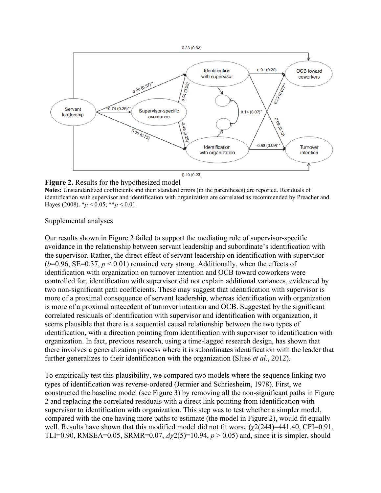

#### **Figure 2.** Results for the hypothesized model

**Notes:** Unstandardized coefficients and their standard errors (in the parentheses) are reported. Residuals of identification with supervisor and identification with organization are correlated as recommended by Preacher and Hayes (2008). \**p* < 0.05; \*\**p* < 0.01

Supplemental analyses

Our results shown in Figure 2 failed to support the mediating role of supervisor-specific avoidance in the relationship between servant leadership and subordinate's identification with the supervisor. Rather, the direct effect of servant leadership on identification with supervisor  $(b=0.96, SE=0.37, p < 0.01)$  remained very strong. Additionally, when the effects of identification with organization on turnover intention and OCB toward coworkers were controlled for, identification with supervisor did not explain additional variances, evidenced by two non-significant path coefficients. These may suggest that identification with supervisor is more of a proximal consequence of servant leadership, whereas identification with organization is more of a proximal antecedent of turnover intention and OCB. Suggested by the significant correlated residuals of identification with supervisor and identification with organization, it seems plausible that there is a sequential causal relationship between the two types of identification, with a direction pointing from identification with supervisor to identification with organization. In fact, previous research, using a time-lagged research design, has shown that there involves a generalization process where it is subordinates identification with the leader that further generalizes to their identification with the organization (Sluss *et al.*, 2012).

To empirically test this plausibility, we compared two models where the sequence linking two types of identification was reverse-ordered (Jermier and Schriesheim, 1978). First, we constructed the baseline model (see Figure 3) by removing all the non-significant paths in Figure 2 and replacing the correlated residuals with a direct link pointing from identification with supervisor to identification with organization. This step was to test whether a simpler model, compared with the one having more paths to estimate (the model in Figure 2), would fit equally well. Results have shown that this modified model did not fit worse (*χ*2(244)=441.40, CFI=0.91, TLI=0.90, RMSEA=0.05, SRMR=0.07, *Δχ*2(5)=10.94, *p* > 0.05) and, since it is simpler, should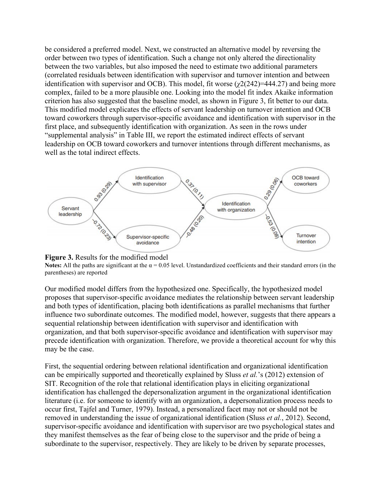be considered a preferred model. Next, we constructed an alternative model by reversing the order between two types of identification. Such a change not only altered the directionality between the two variables, but also imposed the need to estimate two additional parameters (correlated residuals between identification with supervisor and turnover intention and between identification with supervisor and OCB). This model, fit worse  $(\chi^2(242)=444.27)$  and being more complex, failed to be a more plausible one. Looking into the model fit index Akaike information criterion has also suggested that the baseline model, as shown in Figure 3, fit better to our data. This modified model explicates the effects of servant leadership on turnover intention and OCB toward coworkers through supervisor-specific avoidance and identification with supervisor in the first place, and subsequently identification with organization. As seen in the rows under "supplemental analysis" in Table III, we report the estimated indirect effects of servant leadership on OCB toward coworkers and turnover intentions through different mechanisms, as well as the total indirect effects.





**Notes:** All the paths are significant at the  $\alpha = 0.05$  level. Unstandardized coefficients and their standard errors (in the parentheses) are reported

Our modified model differs from the hypothesized one. Specifically, the hypothesized model proposes that supervisor-specific avoidance mediates the relationship between servant leadership and both types of identification, placing both identifications as parallel mechanisms that further influence two subordinate outcomes. The modified model, however, suggests that there appears a sequential relationship between identification with supervisor and identification with organization, and that both supervisor-specific avoidance and identification with supervisor may precede identification with organization. Therefore, we provide a theoretical account for why this may be the case.

First, the sequential ordering between relational identification and organizational identification can be empirically supported and theoretically explained by Sluss *et al.*'s (2012) extension of SIT. Recognition of the role that relational identification plays in eliciting organizational identification has challenged the depersonalization argument in the organizational identification literature (i.e. for someone to identify with an organization, a depersonalization process needs to occur first, Tajfel and Turner, 1979). Instead, a personalized facet may not or should not be removed in understanding the issue of organizational identification (Sluss *et al.*, 2012). Second, supervisor-specific avoidance and identification with supervisor are two psychological states and they manifest themselves as the fear of being close to the supervisor and the pride of being a subordinate to the supervisor, respectively. They are likely to be driven by separate processes,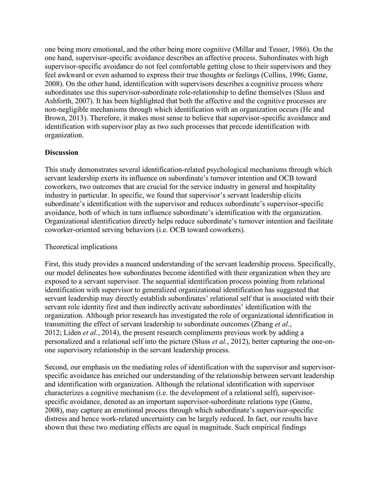one being more emotional, and the other being more cognitive (Millar and Tesser, 1986). On the one hand, supervisor-specific avoidance describes an affective process. Subordinates with high supervisor-specific avoidance do not feel comfortable getting close to their supervisors and they feel awkward or even ashamed to express their true thoughts or feelings (Collins, 1996; Game, 2008). On the other hand, identification with supervisors describes a cognitive process where subordinates use this supervisor-subordinate role-relationship to define themselves (Sluss and Ashforth, 2007). It has been highlighted that both the affective and the cognitive processes are non-negligible mechanisms through which identification with an organization occurs (He and Brown, 2013). Therefore, it makes most sense to believe that supervisor-specific avoidance and identification with supervisor play as two such processes that precede identification with organization.

## **Discussion**

This study demonstrates several identification-related psychological mechanisms through which servant leadership exerts its influence on subordinate's turnover intention and OCB toward coworkers, two outcomes that are crucial for the service industry in general and hospitality industry in particular. In specific, we found that supervisor's servant leadership elicits subordinate's identification with the supervisor and reduces subordinate's supervisor-specific avoidance, both of which in turn influence subordinate's identification with the organization. Organizational identification directly helps reduce subordinate's turnover intention and facilitate coworker-oriented serving behaviors (i.e. OCB toward coworkers).

## Theoretical implications

First, this study provides a nuanced understanding of the servant leadership process. Specifically, our model delineates how subordinates become identified with their organization when they are exposed to a servant supervisor. The sequential identification process pointing from relational identification with supervisor to generalized organizational identification has suggested that servant leadership may directly establish subordinates' relational self that is associated with their servant role identity first and then indirectly activate subordinates' identification with the organization. Although prior research has investigated the role of organizational identification in transmitting the effect of servant leadership to subordinate outcomes (Zhang *et al.*, 2012; Liden *et al.*, 2014), the present research compliments previous work by adding a personalized and a relational self into the picture (Sluss *et al.*, 2012), better capturing the one-onone supervisory relationship in the servant leadership process.

Second, our emphasis on the mediating roles of identification with the supervisor and supervisorspecific avoidance has enriched our understanding of the relationship between servant leadership and identification with organization. Although the relational identification with supervisor characterizes a cognitive mechanism (i.e. the development of a relational self), supervisorspecific avoidance, denoted as an important supervisor-subordinate relations type (Game, 2008), may capture an emotional process through which subordinate's supervisor-specific distress and hence work-related uncertainty can be largely reduced. In fact, our results have shown that these two mediating effects are equal in magnitude. Such empirical findings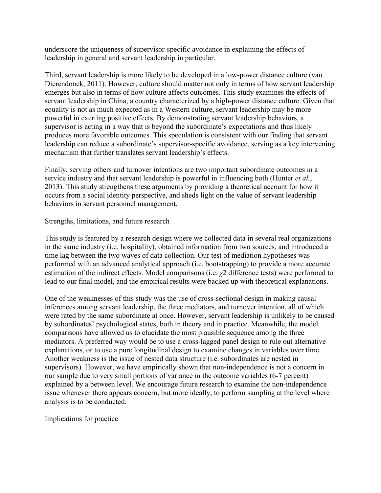underscore the uniqueness of supervisor-specific avoidance in explaining the effects of leadership in general and servant leadership in particular.

Third, servant leadership is more likely to be developed in a low-power distance culture (van Dierendonck, 2011). However, culture should matter not only in terms of how servant leadership emerges but also in terms of how culture affects outcomes. This study examines the effects of servant leadership in China, a country characterized by a high-power distance culture. Given that equality is not as much expected as in a Western culture, servant leadership may be more powerful in exerting positive effects. By demonstrating servant leadership behaviors, a supervisor is acting in a way that is beyond the subordinate's expectations and thus likely produces more favorable outcomes. This speculation is consistent with our finding that servant leadership can reduce a subordinate's supervisor-specific avoidance, serving as a key intervening mechanism that further translates servant leadership's effects.

Finally, serving others and turnover intentions are two important subordinate outcomes in a service industry and that servant leadership is powerful in influencing both (Hunter *et al.*, 2013). This study strengthens these arguments by providing a theoretical account for how it occurs from a social identity perspective, and sheds light on the value of servant leadership behaviors in servant personnel management.

## Strengths, limitations, and future research

This study is featured by a research design where we collected data in several real organizations in the same industry (i.e. hospitality), obtained information from two sources, and introduced a time lag between the two waves of data collection. Our test of mediation hypotheses was performed with an advanced analytical approach (i.e. bootstrapping) to provide a more accurate estimation of the indirect effects. Model comparisons (i.e. *χ*2 difference tests) were performed to lead to our final model, and the empirical results were backed up with theoretical explanations.

One of the weaknesses of this study was the use of cross-sectional design in making causal inferences among servant leadership, the three mediators, and turnover intention, all of which were rated by the same subordinate at once. However, servant leadership is unlikely to be caused by subordinates' psychological states, both in theory and in practice. Meanwhile, the model comparisons have allowed us to elucidate the most plausible sequence among the three mediators. A preferred way would be to use a cross-lagged panel design to rule out alternative explanations, or to use a pure longitudinal design to examine changes in variables over time. Another weakness is the issue of nested data structure (i.e. subordinates are nested in supervisors). However, we have empirically shown that non-independence is not a concern in our sample due to very small portions of variance in the outcome variables (6-7 percent) explained by a between level. We encourage future research to examine the non-independence issue whenever there appears concern, but more ideally, to perform sampling at the level where analysis is to be conducted.

Implications for practice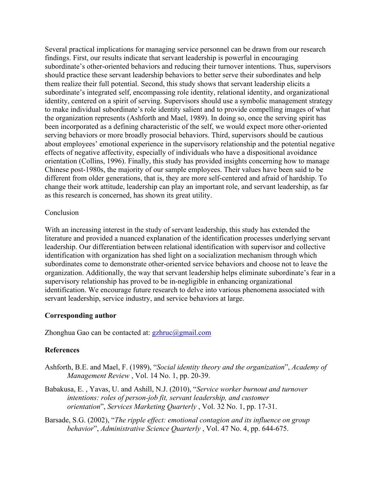Several practical implications for managing service personnel can be drawn from our research findings. First, our results indicate that servant leadership is powerful in encouraging subordinate's other-oriented behaviors and reducing their turnover intentions. Thus, supervisors should practice these servant leadership behaviors to better serve their subordinates and help them realize their full potential. Second, this study shows that servant leadership elicits a subordinate's integrated self, encompassing role identity, relational identity, and organizational identity, centered on a spirit of serving. Supervisors should use a symbolic management strategy to make individual subordinate's role identity salient and to provide compelling images of what the organization represents (Ashforth and Mael, 1989). In doing so, once the serving spirit has been incorporated as a defining characteristic of the self, we would expect more other-oriented serving behaviors or more broadly prosocial behaviors. Third, supervisors should be cautious about employees' emotional experience in the supervisory relationship and the potential negative effects of negative affectivity, especially of individuals who have a dispositional avoidance orientation (Collins, 1996). Finally, this study has provided insights concerning how to manage Chinese post-1980s, the majority of our sample employees. Their values have been said to be different from older generations, that is, they are more self-centered and afraid of hardship. To change their work attitude, leadership can play an important role, and servant leadership, as far as this research is concerned, has shown its great utility.

### Conclusion

With an increasing interest in the study of servant leadership, this study has extended the literature and provided a nuanced explanation of the identification processes underlying servant leadership. Our differentiation between relational identification with supervisor and collective identification with organization has shed light on a socialization mechanism through which subordinates come to demonstrate other-oriented service behaviors and choose not to leave the organization. Additionally, the way that servant leadership helps eliminate subordinate's fear in a supervisory relationship has proved to be in-negligible in enhancing organizational identification. We encourage future research to delve into various phenomena associated with servant leadership, service industry, and service behaviors at large.

## **Corresponding author**

Zhonghua Gao can be contacted at:  $gzhruc@gmail.com$ 

## **References**

- Ashforth, B.E. and Mael, F. (1989), "*Social identity theory and the organization*", *Academy of Management Review* , Vol. 14 No. 1, pp. 20-39.
- Babakusa, E. , Yavas, U. and Ashill, N.J. (2010), "*Service worker burnout and turnover intentions: roles of person-job fit, servant leadership, and customer orientation*", *Services Marketing Quarterly* , Vol. 32 No. 1, pp. 17-31.
- Barsade, S.G. (2002), "*The ripple effect: emotional contagion and its influence on group behavior*", *Administrative Science Quarterly* , Vol. 47 No. 4, pp. 644-675.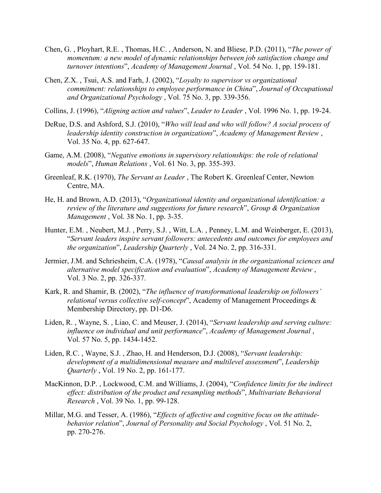- Chen, G. , Ployhart, R.E. , Thomas, H.C. , Anderson, N. and Bliese, P.D. (2011), "*The power of momentum: a new model of dynamic relationships between job satisfaction change and turnover intentions*", *Academy of Management Journal* , Vol. 54 No. 1, pp. 159-181.
- Chen, Z.X. , Tsui, A.S. and Farh, J. (2002), "*Loyalty to supervisor vs organizational commitment: relationships to employee performance in China*", *Journal of Occupational and Organizational Psychology* , Vol. 75 No. 3, pp. 339-356.
- Collins, J. (1996), "*Aligning action and values*", *Leader to Leader* , Vol. 1996 No. 1, pp. 19-24.
- DeRue, D.S. and Ashford, S.J. (2010), "*Who will lead and who will follow? A social process of leadership identity construction in organizations*", *Academy of Management Review* , Vol. 35 No. 4, pp. 627-647.
- Game, A.M. (2008), "*Negative emotions in supervisory relationships: the role of relational models*", *Human Relations* , Vol. 61 No. 3, pp. 355-393.
- Greenleaf, R.K. (1970), *The Servant as Leader* , The Robert K. Greenleaf Center, Newton Centre, MA.
- He, H. and Brown, A.D. (2013), "*Organizational identity and organizational identification: a review of the literature and suggestions for future research*", *Group & Organization Management* , Vol. 38 No. 1, pp. 3-35.
- Hunter, E.M. , Neubert, M.J. , Perry, S.J. , Witt, L.A. , Penney, L.M. and Weinberger, E. (2013), "*Servant leaders inspire servant followers: antecedents and outcomes for employees and the organization*", *Leadership Quarterly* , Vol. 24 No. 2, pp. 316-331.
- Jermier, J.M. and Schriesheim, C.A. (1978), "*Causal analysis in the organizational sciences and alternative model specification and evaluation*", *Academy of Management Review* , Vol. 3 No. 2, pp. 326-337.
- Kark, R. and Shamir, B. (2002), "*The influence of transformational leadership on followers' relational versus collective self-concept*", Academy of Management Proceedings & Membership Directory, pp. D1-D6.
- Liden, R. , Wayne, S. , Liao, C. and Meuser, J. (2014), "*Servant leadership and serving culture: influence on individual and unit performance*", *Academy of Management Journal* , Vol. 57 No. 5, pp. 1434-1452.
- Liden, R.C. , Wayne, S.J. , Zhao, H. and Henderson, D.J. (2008), "*Servant leadership: development of a multidimensional measure and multilevel assessment*", *Leadership Quarterly* , Vol. 19 No. 2, pp. 161-177.
- MacKinnon, D.P. , Lockwood, C.M. and Williams, J. (2004), "*Confidence limits for the indirect effect: distribution of the product and resampling methods*", *Multivariate Behavioral Research* , Vol. 39 No. 1, pp. 99-128.
- Millar, M.G. and Tesser, A. (1986), "*Effects of affective and cognitive focus on the attitudebehavior relation*", *Journal of Personality and Social Psychology* , Vol. 51 No. 2, pp. 270-276.